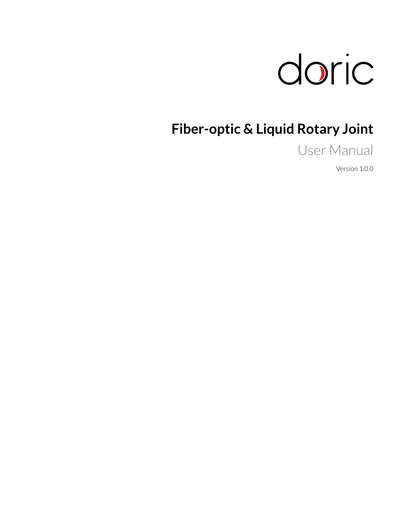

# **Fiber-optic & Liquid Rotary Joint**

User Manual

Version 1.0.0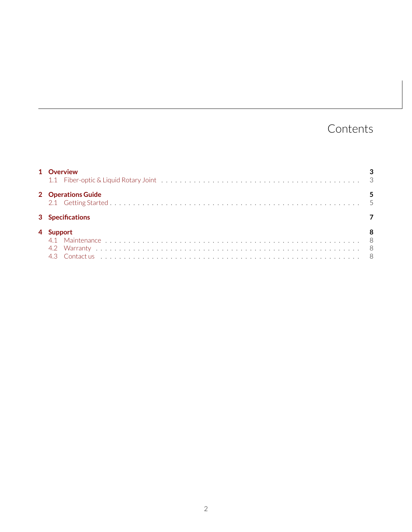## Contents

| 1 Overview         |  |
|--------------------|--|
| 2 Operations Guide |  |
| 3 Specifications   |  |
| <b>Support</b>     |  |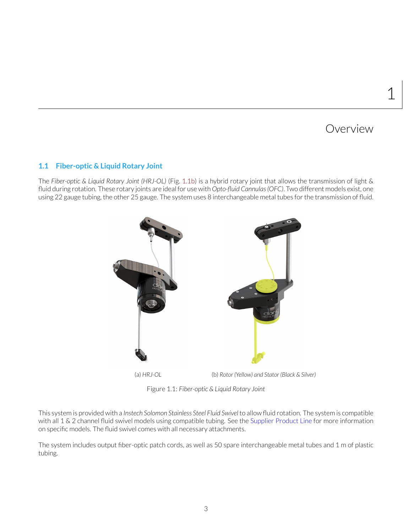### Overview

1

### <span id="page-2-1"></span><span id="page-2-0"></span>**1.1 Fiber-optic & Liquid Rotary Joint**

<span id="page-2-2"></span>The *Fiber-optic & Liquid Rotary Joint (HRJ-OL)* (Fig. [1.1b\)](#page-2-2) is a hybrid rotary joint that allows the transmission of light & fluid during rotation. These rotary joints are ideal for use with *Opto-fluid Cannulas (OFC)*. Two different models exist, one using 22 gauge tubing, the other 25 gauge. The system uses 8 interchangeable metal tubes for the transmission of fluid.



Figure 1.1: *Fiber-optic & Liquid Rotary Joint*

This system is provided with a *Instech Solomon Stainless Steel Fluid Swivel*to allow fluid rotation. The system is compatible with all 1 & 2 channel fluid swivel models using compatible tubing. See the [Supplier Product Line](http://www.instechlabs.com/downloads/swivels.pdf) for more information on specific models. The fluid swivel comes with all necessary attachments.

The system includes output fiber-optic patch cords, as well as 50 spare interchangeable metal tubes and 1 m of plastic tubing.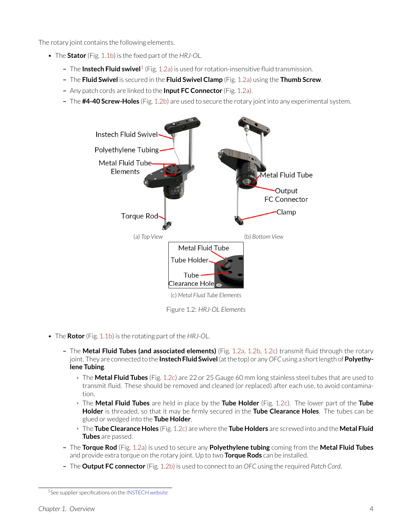The rotary joint contains the following elements.

- The **Stator** (Fig. [1.1b\)](#page-2-2) is the fixed part of the *HRJ-OL*.
	- **–** The **Instech Fluid swivel**[1](#page-3-0) (Fig. [1.2a\)](#page-3-1) is used for rotation-insensitive fluid transmission.
	- **–** The **Fluid Swivel** is secured in the **Fluid Swivel Clamp** (Fig. [1.2a\)](#page-3-1) using the **Thumb Screw**.
	- **–** Any patch cords are linked to the **Input FC Connector** (Fig. [1.2a\)](#page-3-1).
	- **–** The **#4-40 Screw-Holes** (Fig. [1.2b\)](#page-3-1) are used to secure the rotary joint into any experimental system.

<span id="page-3-1"></span>

Figure 1.2: *HRJ-OL Elements*

- The **Rotor** (Fig. [1.1b\)](#page-2-2) is the rotating part of the *HRJ-OL*.
	- **–** The **Metal Fluid Tubes (and associated elements)** (Fig. [1.2a,](#page-3-1) [1.2b,](#page-3-1) [1.2c\)](#page-3-1) transmit fluid through the rotary joint. They are connected to the **Instech Fluid Swivel**(at the top) or any *OFC*using a short length of**Polyethylene Tubing**.
		- \* The **Metal Fluid Tubes** (Fig. [1.2c\)](#page-3-1) are 22 or 25 Gauge 60 mm long stainless steel tubes that are used to transmit fluid. These should be removed and cleaned (or replaced) after each use, to avoid contamination.
		- \* The **Metal Fluid Tubes** are held in place by the **Tube Holder** (Fig. [1.2c\)](#page-3-1). The lower part of the **Tube Holder** is threaded, so that it may be firmly secured in the **Tube Clearance Holes**. The tubes can be glued or wedged into the **Tube Holder**.
		- \* The **Tube Clearance Holes** (Fig. [1.2c\)](#page-3-1) are where the **Tube Holders** are screwed into and the **Metal Fluid Tubes** are passed.
	- **–** The **Torque Rod** (Fig. [1.2a\)](#page-3-1) is used to secure any **Polyethylene tubing** coming from the **Metal Fluid Tubes** and provide extra torque on the rotary joint. Up to two **Torque Rods** can be installed.
	- **–** The **Output FC connector** (Fig. [1.2b\)](#page-3-1) is used to connect to an *OFC* using the required *Patch Cord*.

<span id="page-3-0"></span><sup>&</sup>lt;sup>1</sup>See supplier specifications on the [INSTECH website](https://www.instechlabs.com/infusion/swivels)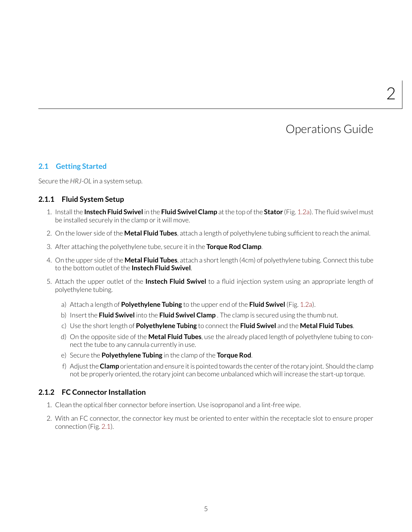### Operations Guide

### <span id="page-4-1"></span><span id="page-4-0"></span>**2.1 Getting Started**

Secure the *HRJ-OL* in a system setup.

### **2.1.1 Fluid System Setup**

- 1. Install the **Instech Fluid Swivel** in the **Fluid Swivel Clamp** at the top of the **Stator** (Fig. [1.2a\)](#page-3-1). The fluid swivel must be installed securely in the clamp or it will move.
- 2. On the lower side of the **Metal Fluid Tubes**, attach a length of polyethylene tubing sufficient to reach the animal.
- 3. After attaching the polyethylene tube, secure it in the **Torque Rod Clamp**.
- 4. On the upper side of the **Metal Fluid Tubes**, attach a short length (4cm) of polyethylene tubing. Connect this tube to the bottom outlet of the **Instech Fluid Swivel**.
- 5. Attach the upper outlet of the **Instech Fluid Swivel** to a fluid injection system using an appropriate length of polyethylene tubing.
	- a) Attach a length of **Polyethylene Tubing** to the upper end of the **Fluid Swivel** (Fig. [1.2a\)](#page-3-1).
	- b) Insert the **Fluid Swivel** into the **Fluid Swivel Clamp** . The clamp is secured using the thumb nut.
	- c) Use the short length of **Polyethylene Tubing** to connect the **Fluid Swivel** and the **Metal Fluid Tubes**.
	- d) On the opposite side of the **Metal Fluid Tubes**, use the already placed length of polyethylene tubing to connect the tube to any cannula currently in use.
	- e) Secure the **Polyethylene Tubing** in the clamp of the **Torque Rod**.
	- f) Adjust the**Clamp** orientation and ensure it is pointed towards the center of the rotary joint. Should the clamp not be properly oriented, the rotary joint can become unbalanced which will increase the start-up torque.

### **2.1.2 FC Connector Installation**

- 1. Clean the optical fiber connector before insertion. Use isopropanol and a lint-free wipe.
- 2. With an FC connector, the connector key must be oriented to enter within the receptacle slot to ensure proper connection (Fig. [2.1\)](#page-5-0).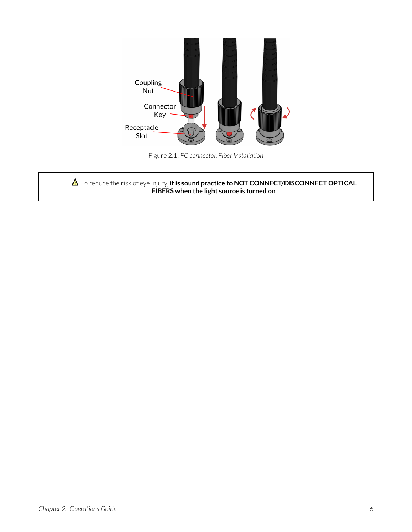<span id="page-5-0"></span>

Figure 2.1: *FC connector, Fiber Installation*

 $\triangle$  To reduce the risk of eye injury, it is sound practice to NOT CONNECT/DISCONNECT OPTICAL **FIBERS when the light source is turned on**.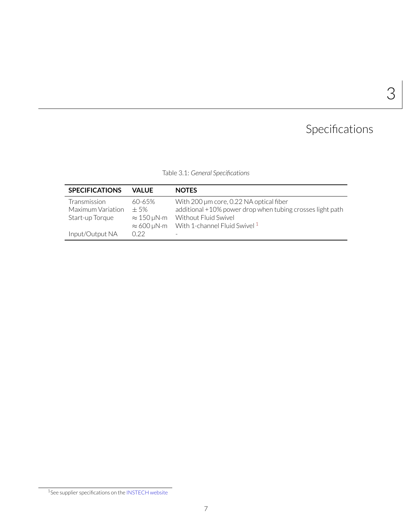# 3

# Specifications

Table 3.1: *General Specifications*

<span id="page-6-0"></span>

| <b>SPECIFICATIONS</b> | VAI UF                                   | <b>NOTES</b>                                              |
|-----------------------|------------------------------------------|-----------------------------------------------------------|
| <b>Transmission</b>   | 60-65%                                   | With 200 µm core, 0.22 NA optical fiber                   |
| Maximum Variation     | $+5%$                                    | additional +10% power drop when tubing crosses light path |
| Start-up Torque       | $\approx 150 \,\mu\text{N}\cdot\text{m}$ | Without Fluid Swivel                                      |
|                       | $\approx 600 \,\mu\text{N}\cdot\text{m}$ | With 1-channel Fluid Swivel 1                             |
| Input/Output NA       | 0.22                                     |                                                           |

<span id="page-6-1"></span><sup>1</sup>See supplier specifications on the [INSTECH website](https://www.instechlabs.com/infusion/swivels)